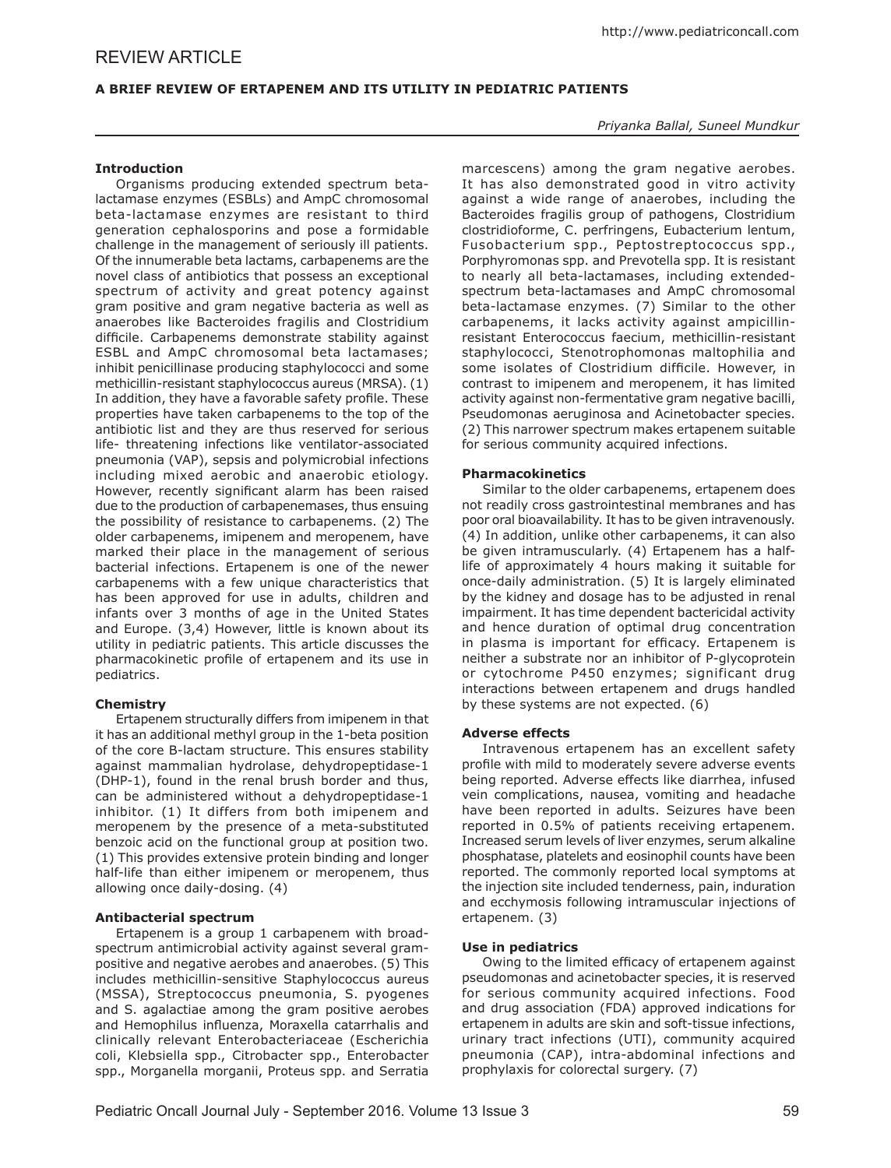# **A BRIEF REVIEW OF ERTAPENEM AND ITS UTILITY IN PEDIATRIC PATIENTS**

## *Priyanka Ballal, Suneel Mundkur*

## **Introduction**

Organisms producing extended spectrum betalactamase enzymes (ESBLs) and AmpC chromosomal beta-lactamase enzymes are resistant to third generation cephalosporins and pose a formidable challenge in the management of seriously ill patients. Of the innumerable beta lactams, carbapenems are the novel class of antibiotics that possess an exceptional spectrum of activity and great potency against gram positive and gram negative bacteria as well as anaerobes like Bacteroides fragilis and Clostridium difficile. Carbapenems demonstrate stability against ESBL and AmpC chromosomal beta lactamases; inhibit penicillinase producing staphylococci and some methicillin-resistant staphylococcus aureus (MRSA). (1) In addition, they have a favorable safety profile. These properties have taken carbapenems to the top of the antibiotic list and they are thus reserved for serious life- threatening infections like ventilator-associated pneumonia (VAP), sepsis and polymicrobial infections including mixed aerobic and anaerobic etiology. However, recently significant alarm has been raised due to the production of carbapenemases, thus ensuing the possibility of resistance to carbapenems. (2) The older carbapenems, imipenem and meropenem, have marked their place in the management of serious bacterial infections. Ertapenem is one of the newer carbapenems with a few unique characteristics that has been approved for use in adults, children and infants over 3 months of age in the United States and Europe. (3,4) However, little is known about its utility in pediatric patients. This article discusses the pharmacokinetic profile of ertapenem and its use in pediatrics.

# **Chemistry**

Ertapenem structurally differs from imipenem in that it has an additional methyl group in the 1-beta position of the core B-lactam structure. This ensures stability against mammalian hydrolase, dehydropeptidase-1 (DHP-1), found in the renal brush border and thus, can be administered without a dehydropeptidase-1 inhibitor. (1) It differs from both imipenem and meropenem by the presence of a meta-substituted benzoic acid on the functional group at position two. (1) This provides extensive protein binding and longer half-life than either imipenem or meropenem, thus allowing once daily-dosing. (4)

### **Antibacterial spectrum**

Ertapenem is a group 1 carbapenem with broadspectrum antimicrobial activity against several grampositive and negative aerobes and anaerobes. (5) This includes methicillin-sensitive Staphylococcus aureus (MSSA), Streptococcus pneumonia, S. pyogenes and S. agalactiae among the gram positive aerobes and Hemophilus influenza, Moraxella catarrhalis and clinically relevant Enterobacteriaceae (Escherichia coli, Klebsiella spp., Citrobacter spp., Enterobacter spp., Morganella morganii, Proteus spp. and Serratia

marcescens) among the gram negative aerobes. It has also demonstrated good in vitro activity against a wide range of anaerobes, including the Bacteroides fragilis group of pathogens, Clostridium clostridioforme, C. perfringens, Eubacterium lentum, Fusobacterium spp., Peptostreptococcus spp., Porphyromonas spp. and Prevotella spp. It is resistant to nearly all beta-lactamases, including extendedspectrum beta-lactamases and AmpC chromosomal beta-lactamase enzymes. (7) Similar to the other carbapenems, it lacks activity against ampicillinresistant Enterococcus faecium, methicillin-resistant staphylococci, Stenotrophomonas maltophilia and some isolates of Clostridium difficile. However, in contrast to imipenem and meropenem, it has limited activity against non-fermentative gram negative bacilli, Pseudomonas aeruginosa and Acinetobacter species. (2) This narrower spectrum makes ertapenem suitable for serious community acquired infections.

## **Pharmacokinetics**

Similar to the older carbapenems, ertapenem does not readily cross gastrointestinal membranes and has poor oral bioavailability. It has to be given intravenously. (4) In addition, unlike other carbapenems, it can also be given intramuscularly. (4) Ertapenem has a halflife of approximately 4 hours making it suitable for once-daily administration. (5) It is largely eliminated by the kidney and dosage has to be adjusted in renal impairment. It has time dependent bactericidal activity and hence duration of optimal drug concentration in plasma is important for efficacy. Ertapenem is neither a substrate nor an inhibitor of P-glycoprotein or cytochrome P450 enzymes; significant drug interactions between ertapenem and drugs handled by these systems are not expected. (6)

### **Adverse effects**

Intravenous ertapenem has an excellent safety profile with mild to moderately severe adverse events being reported. Adverse effects like diarrhea, infused vein complications, nausea, vomiting and headache have been reported in adults. Seizures have been reported in 0.5% of patients receiving ertapenem. Increased serum levels of liver enzymes, serum alkaline phosphatase, platelets and eosinophil counts have been reported. The commonly reported local symptoms at the injection site included tenderness, pain, induration and ecchymosis following intramuscular injections of ertapenem. (3)

### **Use in pediatrics**

Owing to the limited efficacy of ertapenem against pseudomonas and acinetobacter species, it is reserved for serious community acquired infections. Food and drug association (FDA) approved indications for ertapenem in adults are skin and soft-tissue infections, urinary tract infections (UTI), community acquired pneumonia (CAP), intra-abdominal infections and prophylaxis for colorectal surgery. (7)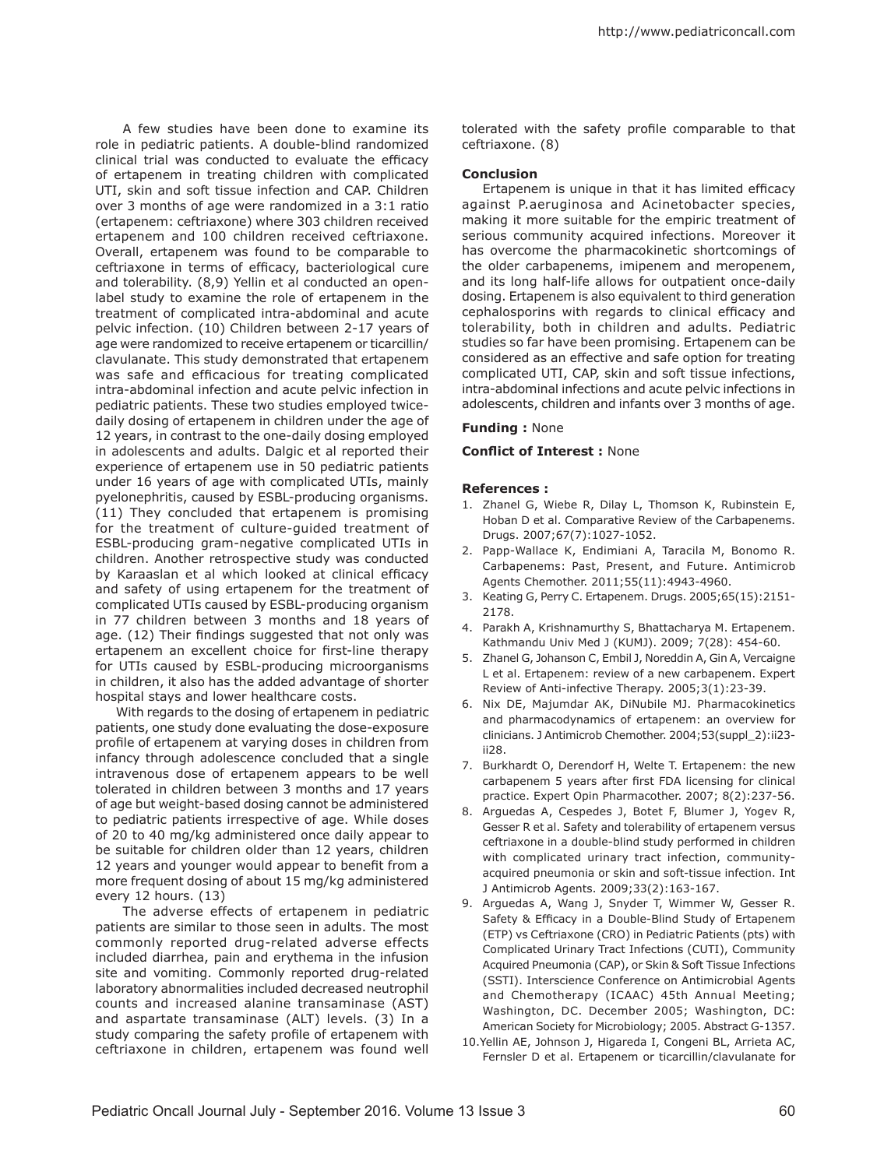A few studies have been done to examine its role in pediatric patients. A double-blind randomized clinical trial was conducted to evaluate the efficacy of ertapenem in treating children with complicated UTI, skin and soft tissue infection and CAP. Children over 3 months of age were randomized in a 3:1 ratio (ertapenem: ceftriaxone) where 303 children received ertapenem and 100 children received ceftriaxone. Overall, ertapenem was found to be comparable to ceftriaxone in terms of efficacy, bacteriological cure and tolerability. (8,9) Yellin et al conducted an openlabel study to examine the role of ertapenem in the treatment of complicated intra-abdominal and acute pelvic infection. (10) Children between 2-17 years of age were randomized to receive ertapenem or ticarcillin/ clavulanate. This study demonstrated that ertapenem was safe and efficacious for treating complicated intra-abdominal infection and acute pelvic infection in pediatric patients. These two studies employed twicedaily dosing of ertapenem in children under the age of 12 years, in contrast to the one-daily dosing employed in adolescents and adults. Dalgic et al reported their experience of ertapenem use in 50 pediatric patients under 16 years of age with complicated UTIs, mainly pyelonephritis, caused by ESBL-producing organisms. (11) They concluded that ertapenem is promising for the treatment of culture-guided treatment of ESBL-producing gram-negative complicated UTIs in children. Another retrospective study was conducted by Karaaslan et al which looked at clinical efficacy and safety of using ertapenem for the treatment of complicated UTIs caused by ESBL-producing organism in 77 children between 3 months and 18 years of age. (12) Their findings suggested that not only was ertapenem an excellent choice for first-line therapy for UTIs caused by ESBL-producing microorganisms in children, it also has the added advantage of shorter hospital stays and lower healthcare costs.

With regards to the dosing of ertapenem in pediatric patients, one study done evaluating the dose-exposure profile of ertapenem at varying doses in children from infancy through adolescence concluded that a single intravenous dose of ertapenem appears to be well tolerated in children between 3 months and 17 years of age but weight-based dosing cannot be administered to pediatric patients irrespective of age. While doses of 20 to 40 mg/kg administered once daily appear to be suitable for children older than 12 years, children 12 years and younger would appear to benefit from a more frequent dosing of about 15 mg/kg administered every 12 hours. (13)

 The adverse effects of ertapenem in pediatric patients are similar to those seen in adults. The most commonly reported drug-related adverse effects included diarrhea, pain and erythema in the infusion site and vomiting. Commonly reported drug-related laboratory abnormalities included decreased neutrophil counts and increased alanine transaminase (AST) and aspartate transaminase (ALT) levels. (3) In a study comparing the safety profile of ertapenem with ceftriaxone in children, ertapenem was found well

tolerated with the safety profile comparable to that ceftriaxone. (8)

### **Conclusion**

Ertapenem is unique in that it has limited efficacy against P.aeruginosa and Acinetobacter species, making it more suitable for the empiric treatment of serious community acquired infections. Moreover it has overcome the pharmacokinetic shortcomings of the older carbapenems, imipenem and meropenem, and its long half-life allows for outpatient once-daily dosing. Ertapenem is also equivalent to third generation cephalosporins with regards to clinical efficacy and tolerability, both in children and adults. Pediatric studies so far have been promising. Ertapenem can be considered as an effective and safe option for treating complicated UTI, CAP, skin and soft tissue infections, intra-abdominal infections and acute pelvic infections in adolescents, children and infants over 3 months of age.

#### **Funding :** None

## **Conflict of Interest :** None

#### **References :**

- 1. Zhanel G, Wiebe R, Dilay L, Thomson K, Rubinstein E, Hoban D et al. Comparative Review of the Carbapenems. Drugs. 2007;67(7):1027-1052.
- 2. Papp-Wallace K, Endimiani A, Taracila M, Bonomo R. Carbapenems: Past, Present, and Future. Antimicrob Agents Chemother. 2011;55(11):4943-4960.
- 3. Keating G, Perry C. Ertapenem. Drugs. 2005;65(15):2151- 2178.
- 4. Parakh A, Krishnamurthy S, Bhattacharya M. Ertapenem. Kathmandu Univ Med J (KUMJ). 2009; 7(28): 454-60.
- 5. Zhanel G, Johanson C, Embil J, Noreddin A, Gin A, Vercaigne L et al. Ertapenem: review of a new carbapenem. Expert Review of Anti-infective Therapy. 2005;3(1):23-39.
- 6. Nix DE, Majumdar AK, DiNubile MJ. Pharmacokinetics and pharmacodynamics of ertapenem: an overview for clinicians. J Antimicrob Chemother. 2004;53(suppl\_2):ii23 ii28.
- 7. Burkhardt O, Derendorf H, Welte T. Ertapenem: the new carbapenem 5 years after first FDA licensing for clinical practice. Expert Opin Pharmacother. 2007; 8(2):237-56.
- 8. Arguedas A, Cespedes J, Botet F, Blumer J, Yogev R, Gesser R et al. Safety and tolerability of ertapenem versus ceftriaxone in a double-blind study performed in children with complicated urinary tract infection, communityacquired pneumonia or skin and soft-tissue infection. Int J Antimicrob Agents. 2009;33(2):163-167.
- 9. Arguedas A, Wang J, Snyder T, Wimmer W, Gesser R. Safety & Efficacy in a Double-Blind Study of Ertapenem (ETP) vs Ceftriaxone (CRO) in Pediatric Patients (pts) with Complicated Urinary Tract Infections (CUTI), Community Acquired Pneumonia (CAP), or Skin & Soft Tissue Infections (SSTI). Interscience Conference on Antimicrobial Agents and Chemotherapy (ICAAC) 45th Annual Meeting; Washington, DC. December 2005; Washington, DC: American Society for Microbiology; 2005. Abstract G-1357.
- 10.Yellin AE, Johnson J, Higareda I, Congeni BL, Arrieta AC, Fernsler D et al. Ertapenem or ticarcillin/clavulanate for